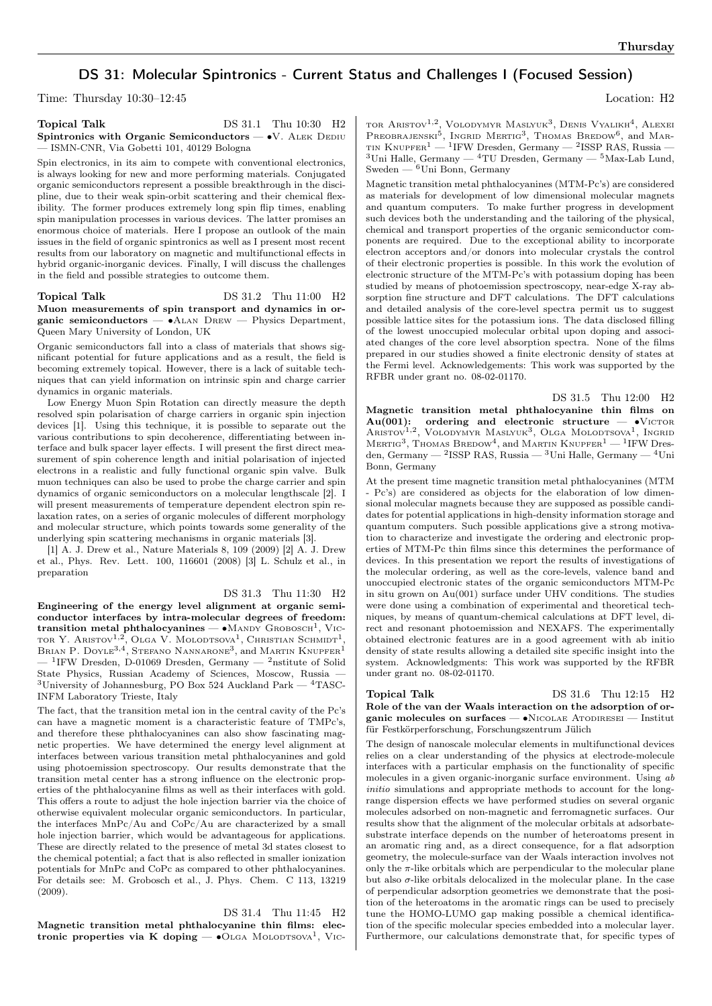# DS 31: Molecular Spintronics - Current Status and Challenges I (Focused Session)

Time: Thursday 10:30–12:45 Location: H2

#### Topical Talk DS 31.1 Thu 10:30 H<sub>2</sub> Spintronics with Organic Semiconductors — •V. ALEK DEDIU — ISMN-CNR, Via Gobetti 101, 40129 Bologna

Spin electronics, in its aim to compete with conventional electronics, is always looking for new and more performing materials. Conjugated organic semiconductors represent a possible breakthrough in the discipline, due to their weak spin-orbit scattering and their chemical flexibility. The former produces extremely long spin flip times, enabling spin manipulation processes in various devices. The latter promises an enormous choice of materials. Here I propose an outlook of the main issues in the field of organic spintronics as well as I present most recent results from our laboratory on magnetic and multifunctional effects in hybrid organic-inorganic devices. Finally, I will discuss the challenges in the field and possible strategies to outcome them.

Topical Talk DS 31.2 Thu 11:00 H2 Muon measurements of spin transport and dynamics in organic semiconductors — ∙Alan Drew — Physics Department, Queen Mary University of London, UK

Organic semiconductors fall into a class of materials that shows significant potential for future applications and as a result, the field is becoming extremely topical. However, there is a lack of suitable techniques that can yield information on intrinsic spin and charge carrier dynamics in organic materials.

Low Energy Muon Spin Rotation can directly measure the depth resolved spin polarisation of charge carriers in organic spin injection devices [1]. Using this technique, it is possible to separate out the various contributions to spin decoherence, differentiating between interface and bulk spacer layer effects. I will present the first direct measurement of spin coherence length and initial polarisation of injected electrons in a realistic and fully functional organic spin valve. Bulk muon techniques can also be used to probe the charge carrier and spin dynamics of organic semiconductors on a molecular lengthscale [2]. I will present measurements of temperature dependent electron spin relaxation rates, on a series of organic molecules of different morphology and molecular structure, which points towards some generality of the underlying spin scattering mechanisms in organic materials [3].

[1] A. J. Drew et al., Nature Materials 8, 109 (2009) [2] A. J. Drew et al., Phys. Rev. Lett. 100, 116601 (2008) [3] L. Schulz et al., in preparation

### DS 31.3 Thu 11:30 H2

Engineering of the energy level alignment at organic semiconductor interfaces by intra-molecular degrees of freedom:  $transition$  metal phthalocyanines — • $M$ ANDY  $G$ ROBOSCH<sup>1</sup>, VICtor Y. Aristov<sup>1,2</sup>, Olga V. Molodtsova<sup>1</sup>, Christian Schmidt<sup>1</sup>, Brian P. Doyle<sup>3,4</sup>, Stefano Nannarone<sup>3</sup>, and Martin Knupfer<sup>1</sup>  $-$ <sup>1</sup>IFW Dresden, D-01069 Dresden, Germany  $-$ <sup>2</sup>nstitute of Solid State Physics, Russian Academy of Sciences, Moscow, Russia — <sup>3</sup>University of Johannesburg, PO Box 524 Auckland Park  $-$  <sup>4</sup>TASC-INFM Laboratory Trieste, Italy

The fact, that the transition metal ion in the central cavity of the Pc's can have a magnetic moment is a characteristic feature of TMPc's, and therefore these phthalocyanines can also show fascinating magnetic properties. We have determined the energy level alignment at interfaces between various transition metal phthalocyanines and gold using photoemission spectroscopy. Our results demonstrate that the transition metal center has a strong influence on the electronic properties of the phthalocyanine films as well as their interfaces with gold. This offers a route to adjust the hole injection barrier via the choice of otherwise equivalent molecular organic semiconductors. In particular, the interfaces MnPc/Au and CoPc/Au are characterized by a small hole injection barrier, which would be advantageous for applications. These are directly related to the presence of metal 3d states closest to the chemical potential; a fact that is also reflected in smaller ionization potentials for MnPc and CoPc as compared to other phthalocyanines. For details see: M. Grobosch et al., J. Phys. Chem. C 113, 13219 (2009).

DS 31.4 Thu 11:45 H2 Magnetic transition metal phthalocyanine thin films: electronic properties via K doping —  $\bullet$ OLGA MOLODTSOVA<sup>1</sup>, VIC-

tor Aristov<sup>1,2</sup>, Volodymyr Maslyuk<sup>3</sup>, Denis Vyalikh<sup>4</sup>, Alexei PREOBRAJENSKI<sup>5</sup>, INGRID MERTIG<sup>3</sup>, THOMAS BREDOW<sup>6</sup>, and MAR-TIN KNUPFER<sup>1</sup> — <sup>1</sup>IFW Dresden, Germany — <sup>2</sup>ISSP RAS, Russia —  $3$ Uni Halle, Germany —  $4$ TU Dresden, Germany —  $5$ Max-Lab Lund, Sweden — <sup>6</sup>Uni Bonn, Germany

Magnetic transition metal phthalocyanines (MTM-Pc's) are considered as materials for development of low dimensional molecular magnets and quantum computers. To make further progress in development such devices both the understanding and the tailoring of the physical, chemical and transport properties of the organic semiconductor components are required. Due to the exceptional ability to incorporate electron acceptors and/or donors into molecular crystals the control of their electronic properties is possible. In this work the evolution of electronic structure of the MTM-Pc's with potassium doping has been studied by means of photoemission spectroscopy, near-edge X-ray absorption fine structure and DFT calculations. The DFT calculations and detailed analysis of the core-level spectra permit us to suggest possible lattice sites for the potassium ions. The data disclosed filling of the lowest unoccupied molecular orbital upon doping and associated changes of the core level absorption spectra. None of the films prepared in our studies showed a finite electronic density of states at the Fermi level. Acknowledgements: This work was supported by the RFBR under grant no. 08-02-01170.

DS 31.5 Thu 12:00 H2 Magnetic transition metal phthalocyanine thin films on  $Au(001)$ : ordering and electronic structure — • VICTOR ARISTOV<sup>1,2</sup>, VOLODYMYR MASLYUK<sup>3</sup>, OLGA MOLODTSOVA<sup>1</sup>, INGRID MERTIG<sup>3</sup>, THOMAS BREDOW<sup>4</sup>, and MARTIN KNUPFER<sup>1</sup> — <sup>1</sup>IFW Dresden, Germany — <sup>2</sup>ISSP RAS, Russia — <sup>3</sup>Uni Halle, Germany — <sup>4</sup>Uni Bonn, Germany

At the present time magnetic transition metal phthalocyanines (MTM - Pc's) are considered as objects for the elaboration of low dimensional molecular magnets because they are supposed as possible candidates for potential applications in high-density information storage and quantum computers. Such possible applications give a strong motivation to characterize and investigate the ordering and electronic properties of MTM-Pc thin films since this determines the performance of devices. In this presentation we report the results of investigations of the molecular ordering, as well as the core-levels, valence band and unoccupied electronic states of the organic semiconductors MTM-Pc in situ grown on Au(001) surface under UHV conditions. The studies were done using a combination of experimental and theoretical techniques, by means of quantum-chemical calculations at DFT level, direct and resonant photoemission and NEXAFS. The experimentally obtained electronic features are in a good agreement with ab initio density of state results allowing a detailed site specific insight into the system. Acknowledgments: This work was supported by the RFBR under grant no. 08-02-01170.

## **Topical Talk** DS 31.6 Thu 12:15 H<sub>2</sub>

Role of the van der Waals interaction on the adsorption of organic molecules on surfaces — ∙Nicolae Atodiresei — Institut für Festkörperforschung, Forschungszentrum Jülich

The design of nanoscale molecular elements in multifunctional devices relies on a clear understanding of the physics at electrode-molecule interfaces with a particular emphasis on the functionality of specific molecules in a given organic-inorganic surface environment. Using ab initio simulations and appropriate methods to account for the longrange dispersion effects we have performed studies on several organic molecules adsorbed on non-magnetic and ferromagnetic surfaces. Our results show that the alignment of the molecular orbitals at adsorbatesubstrate interface depends on the number of heteroatoms present in an aromatic ring and, as a direct consequence, for a flat adsorption geometry, the molecule-surface van der Waals interaction involves not only the  $\pi$ -like orbitals which are perpendicular to the molecular plane but also  $\sigma$ -like orbitals delocalized in the molecular plane. In the case of perpendicular adsorption geometries we demonstrate that the position of the heteroatoms in the aromatic rings can be used to precisely tune the HOMO-LUMO gap making possible a chemical identification of the specific molecular species embedded into a molecular layer. Furthermore, our calculations demonstrate that, for specific types of